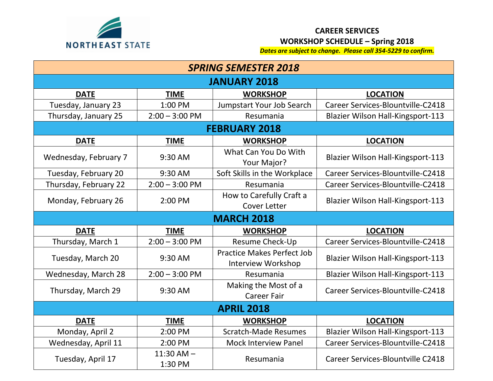

## **CAREER SERVICES WORKSHOP SCHEDULE – Spring 2018**

*Dates are subject to change. Please call 354-5229 to confirm.*

| <b>SPRING SEMESTER 2018</b> |                           |                                                         |                                          |  |  |
|-----------------------------|---------------------------|---------------------------------------------------------|------------------------------------------|--|--|
| <b>JANUARY 2018</b>         |                           |                                                         |                                          |  |  |
| <b>DATE</b>                 | <b>TIME</b>               | <b>WORKSHOP</b>                                         | <b>LOCATION</b>                          |  |  |
| Tuesday, January 23         | 1:00 PM                   | Jumpstart Your Job Search                               | Career Services-Blountville-C2418        |  |  |
| Thursday, January 25        | $2:00 - 3:00$ PM          | Resumania                                               | <b>Blazier Wilson Hall-Kingsport-113</b> |  |  |
| <b>FEBRUARY 2018</b>        |                           |                                                         |                                          |  |  |
| <b>DATE</b>                 | <b>TIME</b>               | <b>WORKSHOP</b>                                         | <b>LOCATION</b>                          |  |  |
| Wednesday, February 7       | 9:30 AM                   | What Can You Do With<br>Your Major?                     | <b>Blazier Wilson Hall-Kingsport-113</b> |  |  |
| Tuesday, February 20        | 9:30 AM                   | Soft Skills in the Workplace                            | Career Services-Blountville-C2418        |  |  |
| Thursday, February 22       | $2:00 - 3:00$ PM          | Resumania                                               | Career Services-Blountville-C2418        |  |  |
| Monday, February 26         | 2:00 PM                   | How to Carefully Craft a<br>Cover Letter                | <b>Blazier Wilson Hall-Kingsport-113</b> |  |  |
| <b>MARCH 2018</b>           |                           |                                                         |                                          |  |  |
| <b>DATE</b>                 | <b>TIME</b>               | <b>WORKSHOP</b>                                         | <b>LOCATION</b>                          |  |  |
| Thursday, March 1           | $2:00 - 3:00$ PM          | <b>Resume Check-Up</b>                                  | Career Services-Blountville-C2418        |  |  |
| Tuesday, March 20           | 9:30 AM                   | <b>Practice Makes Perfect Job</b><br>Interview Workshop | <b>Blazier Wilson Hall-Kingsport-113</b> |  |  |
| Wednesday, March 28         | $2:00 - 3:00$ PM          | Resumania                                               | <b>Blazier Wilson Hall-Kingsport-113</b> |  |  |
| Thursday, March 29          | 9:30 AM                   | Making the Most of a<br><b>Career Fair</b>              | Career Services-Blountville-C2418        |  |  |
| <b>APRIL 2018</b>           |                           |                                                         |                                          |  |  |
| <b>DATE</b>                 | <b>TIME</b>               | <b>WORKSHOP</b>                                         | <b>LOCATION</b>                          |  |  |
| Monday, April 2             | 2:00 PM                   | <b>Scratch-Made Resumes</b>                             | <b>Blazier Wilson Hall-Kingsport-113</b> |  |  |
| Wednesday, April 11         | 2:00 PM                   | <b>Mock Interview Panel</b>                             | Career Services-Blountville-C2418        |  |  |
| Tuesday, April 17           | $11:30$ AM $-$<br>1:30 PM | Resumania                                               | <b>Career Services-Blountville C2418</b> |  |  |